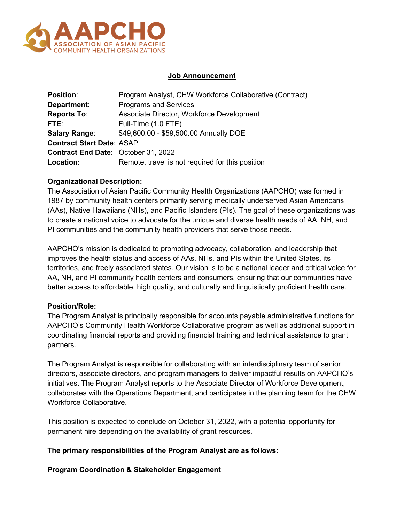

## **Job Announcement**

| <b>Position:</b>                           | Program Analyst, CHW Workforce Collaborative (Contract) |
|--------------------------------------------|---------------------------------------------------------|
| Department:                                | <b>Programs and Services</b>                            |
| <b>Reports To:</b>                         | Associate Director, Workforce Development               |
| FTE:                                       | Full-Time (1.0 FTE)                                     |
| <b>Salary Range:</b>                       | \$49,600.00 - \$59,500.00 Annually DOE                  |
| <b>Contract Start Date: ASAP</b>           |                                                         |
| <b>Contract End Date: October 31, 2022</b> |                                                         |
| Location:                                  | Remote, travel is not required for this position        |

# **Organizational Description:**

The Association of Asian Pacific Community Health Organizations (AAPCHO) was formed in 1987 by community health centers primarily serving medically underserved Asian Americans (AAs), Native Hawaiians (NHs), and Pacific Islanders (PIs). The goal of these organizations was to create a national voice to advocate for the unique and diverse health needs of AA, NH, and PI communities and the community health providers that serve those needs.

AAPCHO's mission is dedicated to promoting advocacy, collaboration, and leadership that improves the health status and access of AAs, NHs, and PIs within the United States, its territories, and freely associated states. Our vision is to be a national leader and critical voice for AA, NH, and PI community health centers and consumers, ensuring that our communities have better access to affordable, high quality, and culturally and linguistically proficient health care.

# **Position/Role:**

The Program Analyst is principally responsible for accounts payable administrative functions for AAPCHO's Community Health Workforce Collaborative program as well as additional support in coordinating financial reports and providing financial training and technical assistance to grant partners.

The Program Analyst is responsible for collaborating with an interdisciplinary team of senior directors, associate directors, and program managers to deliver impactful results on AAPCHO's initiatives. The Program Analyst reports to the Associate Director of Workforce Development, collaborates with the Operations Department, and participates in the planning team for the CHW Workforce Collaborative.

This position is expected to conclude on October 31, 2022, with a potential opportunity for permanent hire depending on the availability of grant resources.

### **The primary responsibilities of the Program Analyst are as follows:**

### **Program Coordination & Stakeholder Engagement**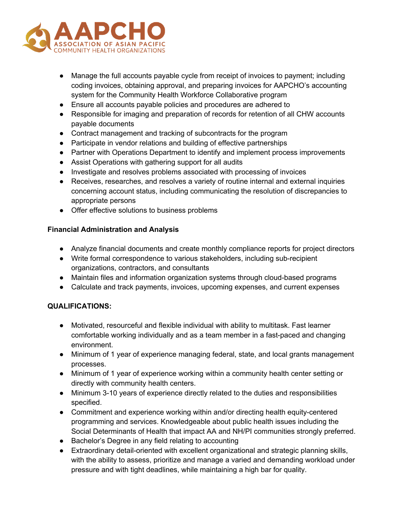

- Manage the full accounts payable cycle from receipt of invoices to payment; including coding invoices, obtaining approval, and preparing invoices for AAPCHO's accounting system for the Community Health Workforce Collaborative program
- Ensure all accounts payable policies and procedures are adhered to
- Responsible for imaging and preparation of records for retention of all CHW accounts payable documents
- Contract management and tracking of subcontracts for the program
- Participate in vendor relations and building of effective partnerships
- Partner with Operations Department to identify and implement process improvements
- Assist Operations with gathering support for all audits
- Investigate and resolves problems associated with processing of invoices
- Receives, researches, and resolves a variety of routine internal and external inquiries concerning account status, including communicating the resolution of discrepancies to appropriate persons
- Offer effective solutions to business problems

### **Financial Administration and Analysis**

- Analyze financial documents and create monthly compliance reports for project directors
- Write formal correspondence to various stakeholders, including sub-recipient organizations, contractors, and consultants
- Maintain files and information organization systems through cloud-based programs
- Calculate and track payments, invoices, upcoming expenses, and current expenses

### **QUALIFICATIONS:**

- Motivated, resourceful and flexible individual with ability to multitask. Fast learner comfortable working individually and as a team member in a fast-paced and changing environment.
- Minimum of 1 year of experience managing federal, state, and local grants management processes.
- Minimum of 1 year of experience working within a community health center setting or directly with community health centers.
- Minimum 3-10 years of experience directly related to the duties and responsibilities specified.
- Commitment and experience working within and/or directing health equity-centered programming and services. Knowledgeable about public health issues including the Social Determinants of Health that impact AA and NH/PI communities strongly preferred.
- Bachelor's Degree in any field relating to accounting
- Extraordinary detail-oriented with excellent organizational and strategic planning skills, with the ability to assess, prioritize and manage a varied and demanding workload under pressure and with tight deadlines, while maintaining a high bar for quality.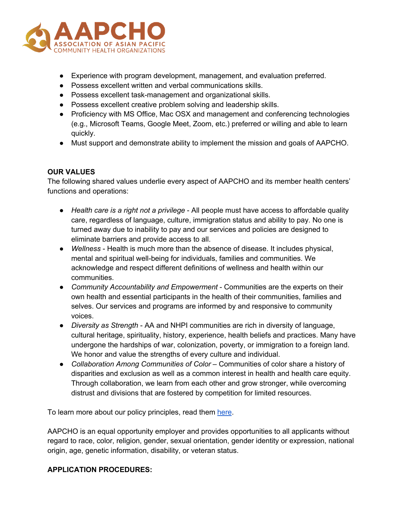

- Experience with program development, management, and evaluation preferred.
- Possess excellent written and verbal communications skills.
- Possess excellent task-management and organizational skills.
- Possess excellent creative problem solving and leadership skills.
- Proficiency with MS Office, Mac OSX and management and conferencing technologies (e.g., Microsoft Teams, Google Meet, Zoom, etc.) preferred or willing and able to learn quickly.
- Must support and demonstrate ability to implement the mission and goals of AAPCHO.

### **OUR VALUES**

The following shared values underlie every aspect of AAPCHO and its member health centers' functions and operations:

- *Health care is a right not a privilege* All people must have access to affordable quality care, regardless of language, culture, immigration status and ability to pay. No one is turned away due to inability to pay and our services and policies are designed to eliminate barriers and provide access to all.
- *Wellness* Health is much more than the absence of disease. It includes physical, mental and spiritual well-being for individuals, families and communities. We acknowledge and respect different definitions of wellness and health within our communities.
- *Community Accountability and Empowerment* Communities are the experts on their own health and essential participants in the health of their communities, families and selves. Our services and programs are informed by and responsive to community voices.
- *Diversity as Strength*  AA and NHPI communities are rich in diversity of language, cultural heritage, spirituality, history, experience, health beliefs and practices. Many have undergone the hardships of war, colonization, poverty, or immigration to a foreign land. We honor and value the strengths of every culture and individual.
- *Collaboration Among Communities of Color* Communities of color share a history of disparities and exclusion as well as a common interest in health and health care equity. Through collaboration, we learn from each other and grow stronger, while overcoming distrust and divisions that are fostered by competition for limited resources.

To learn more about our policy principles, read them here.

AAPCHO is an equal opportunity employer and provides opportunities to all applicants without regard to race, color, religion, gender, sexual orientation, gender identity or expression, national origin, age, genetic information, disability, or veteran status.

### **APPLICATION PROCEDURES:**